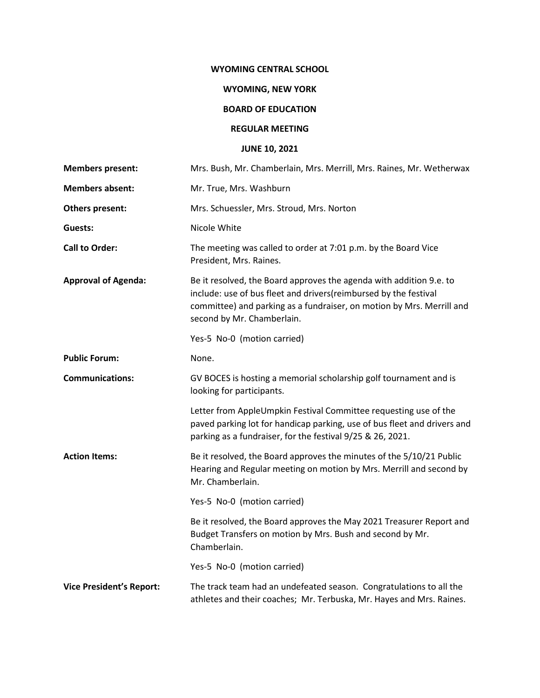### **WYOMING CENTRAL SCHOOL**

## **WYOMING, NEW YORK**

# **BOARD OF EDUCATION**

#### **REGULAR MEETING**

# **JUNE 10, 2021**

| <b>Members present:</b>         | Mrs. Bush, Mr. Chamberlain, Mrs. Merrill, Mrs. Raines, Mr. Wetherwax                                                                                                                                                                           |
|---------------------------------|------------------------------------------------------------------------------------------------------------------------------------------------------------------------------------------------------------------------------------------------|
| <b>Members absent:</b>          | Mr. True, Mrs. Washburn                                                                                                                                                                                                                        |
| <b>Others present:</b>          | Mrs. Schuessler, Mrs. Stroud, Mrs. Norton                                                                                                                                                                                                      |
| Guests:                         | Nicole White                                                                                                                                                                                                                                   |
| <b>Call to Order:</b>           | The meeting was called to order at 7:01 p.m. by the Board Vice<br>President, Mrs. Raines.                                                                                                                                                      |
| <b>Approval of Agenda:</b>      | Be it resolved, the Board approves the agenda with addition 9.e. to<br>include: use of bus fleet and drivers(reimbursed by the festival<br>committee) and parking as a fundraiser, on motion by Mrs. Merrill and<br>second by Mr. Chamberlain. |
|                                 | Yes-5 No-0 (motion carried)                                                                                                                                                                                                                    |
| <b>Public Forum:</b>            | None.                                                                                                                                                                                                                                          |
| <b>Communications:</b>          | GV BOCES is hosting a memorial scholarship golf tournament and is<br>looking for participants.                                                                                                                                                 |
|                                 | Letter from AppleUmpkin Festival Committee requesting use of the<br>paved parking lot for handicap parking, use of bus fleet and drivers and<br>parking as a fundraiser, for the festival 9/25 & 26, 2021.                                     |
| <b>Action Items:</b>            | Be it resolved, the Board approves the minutes of the 5/10/21 Public<br>Hearing and Regular meeting on motion by Mrs. Merrill and second by<br>Mr. Chamberlain.                                                                                |
|                                 | Yes-5 No-0 (motion carried)                                                                                                                                                                                                                    |
|                                 | Be it resolved, the Board approves the May 2021 Treasurer Report and<br>Budget Transfers on motion by Mrs. Bush and second by Mr.<br>Chamberlain.                                                                                              |
|                                 | Yes-5 No-0 (motion carried)                                                                                                                                                                                                                    |
| <b>Vice President's Report:</b> | The track team had an undefeated season. Congratulations to all the<br>athletes and their coaches; Mr. Terbuska, Mr. Hayes and Mrs. Raines.                                                                                                    |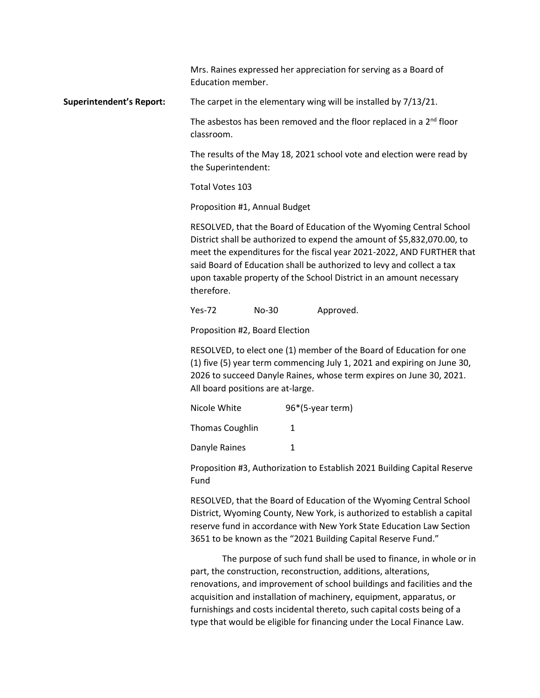Mrs. Raines expressed her appreciation for serving as a Board of Education member.

**Superintendent's Report:** The carpet in the elementary wing will be installed by 7/13/21.

The asbestos has been removed and the floor replaced in a 2<sup>nd</sup> floor classroom.

The results of the May 18, 2021 school vote and election were read by the Superintendent:

Total Votes 103

Proposition #1, Annual Budget

RESOLVED, that the Board of Education of the Wyoming Central School District shall be authorized to expend the amount of \$5,832,070.00, to meet the expenditures for the fiscal year 2021-2022, AND FURTHER that said Board of Education shall be authorized to levy and collect a tax upon taxable property of the School District in an amount necessary therefore.

Yes-72 No-30 Approved.

Proposition #2, Board Election

RESOLVED, to elect one (1) member of the Board of Education for one (1) five (5) year term commencing July 1, 2021 and expiring on June 30, 2026 to succeed Danyle Raines, whose term expires on June 30, 2021. All board positions are at-large.

| Nicole White    | 96*(5-year term) |
|-----------------|------------------|
| Thomas Coughlin | 1                |
| Danyle Raines   |                  |

Proposition #3, Authorization to Establish 2021 Building Capital Reserve Fund

RESOLVED, that the Board of Education of the Wyoming Central School District, Wyoming County, New York, is authorized to establish a capital reserve fund in accordance with New York State Education Law Section 3651 to be known as the "2021 Building Capital Reserve Fund."

The purpose of such fund shall be used to finance, in whole or in part, the construction, reconstruction, additions, alterations, renovations, and improvement of school buildings and facilities and the acquisition and installation of machinery, equipment, apparatus, or furnishings and costs incidental thereto, such capital costs being of a type that would be eligible for financing under the Local Finance Law.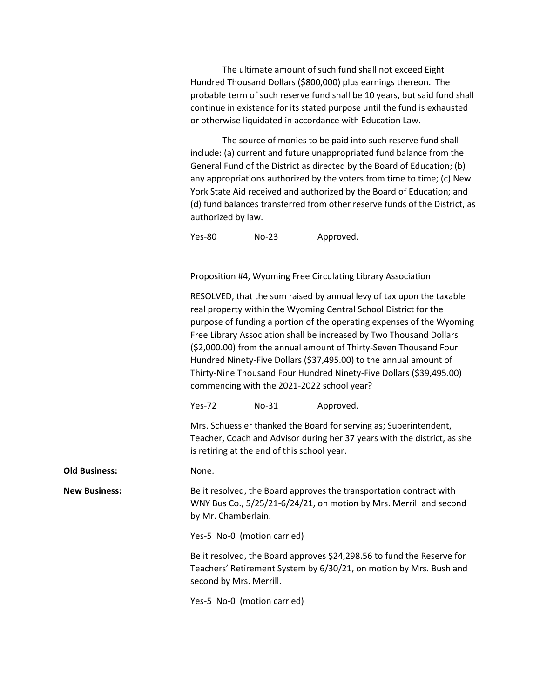The ultimate amount of such fund shall not exceed Eight Hundred Thousand Dollars (\$800,000) plus earnings thereon. The probable term of such reserve fund shall be 10 years, but said fund shall continue in existence for its stated purpose until the fund is exhausted or otherwise liquidated in accordance with Education Law.

The source of monies to be paid into such reserve fund shall include: (a) current and future unappropriated fund balance from the General Fund of the District as directed by the Board of Education; (b) any appropriations authorized by the voters from time to time; (c) New York State Aid received and authorized by the Board of Education; and (d) fund balances transferred from other reserve funds of the District, as authorized by law.

Yes-80 No-23 Approved.

Proposition #4, Wyoming Free Circulating Library Association

RESOLVED, that the sum raised by annual levy of tax upon the taxable real property within the Wyoming Central School District for the purpose of funding a portion of the operating expenses of the Wyoming Free Library Association shall be increased by Two Thousand Dollars (\$2,000.00) from the annual amount of Thirty-Seven Thousand Four Hundred Ninety-Five Dollars (\$37,495.00) to the annual amount of Thirty-Nine Thousand Four Hundred Ninety-Five Dollars (\$39,495.00) commencing with the 2021-2022 school year?

Yes-72 No-31 Approved.

Mrs. Schuessler thanked the Board for serving as; Superintendent, Teacher, Coach and Advisor during her 37 years with the district, as she is retiring at the end of this school year.

**Old Business:** None.

**New Business:** Be it resolved, the Board approves the transportation contract with WNY Bus Co., 5/25/21-6/24/21, on motion by Mrs. Merrill and second by Mr. Chamberlain.

Yes-5 No-0 (motion carried)

Be it resolved, the Board approves \$24,298.56 to fund the Reserve for Teachers' Retirement System by 6/30/21, on motion by Mrs. Bush and second by Mrs. Merrill.

Yes-5 No-0 (motion carried)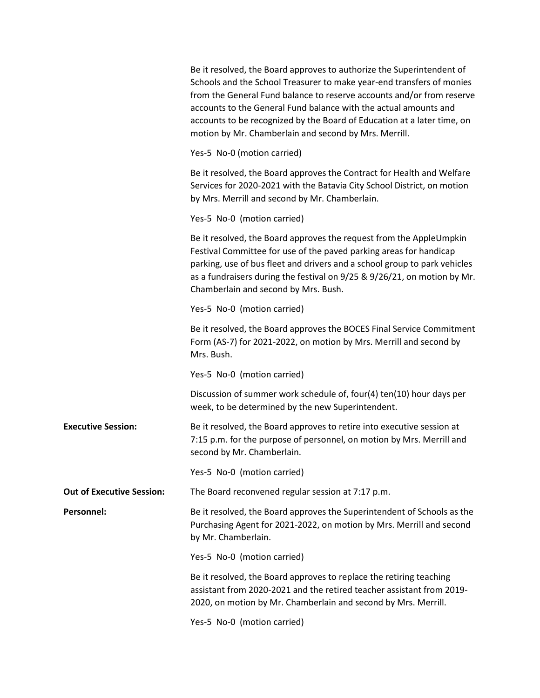|                                  | Be it resolved, the Board approves to authorize the Superintendent of<br>Schools and the School Treasurer to make year-end transfers of monies<br>from the General Fund balance to reserve accounts and/or from reserve<br>accounts to the General Fund balance with the actual amounts and<br>accounts to be recognized by the Board of Education at a later time, on<br>motion by Mr. Chamberlain and second by Mrs. Merrill. |
|----------------------------------|---------------------------------------------------------------------------------------------------------------------------------------------------------------------------------------------------------------------------------------------------------------------------------------------------------------------------------------------------------------------------------------------------------------------------------|
|                                  | Yes-5 No-0 (motion carried)                                                                                                                                                                                                                                                                                                                                                                                                     |
|                                  | Be it resolved, the Board approves the Contract for Health and Welfare<br>Services for 2020-2021 with the Batavia City School District, on motion<br>by Mrs. Merrill and second by Mr. Chamberlain.                                                                                                                                                                                                                             |
|                                  | Yes-5 No-0 (motion carried)                                                                                                                                                                                                                                                                                                                                                                                                     |
|                                  | Be it resolved, the Board approves the request from the AppleUmpkin<br>Festival Committee for use of the paved parking areas for handicap<br>parking, use of bus fleet and drivers and a school group to park vehicles<br>as a fundraisers during the festival on 9/25 & 9/26/21, on motion by Mr.<br>Chamberlain and second by Mrs. Bush.                                                                                      |
|                                  | Yes-5 No-0 (motion carried)                                                                                                                                                                                                                                                                                                                                                                                                     |
|                                  | Be it resolved, the Board approves the BOCES Final Service Commitment<br>Form (AS-7) for 2021-2022, on motion by Mrs. Merrill and second by<br>Mrs. Bush.                                                                                                                                                                                                                                                                       |
|                                  | Yes-5 No-0 (motion carried)                                                                                                                                                                                                                                                                                                                                                                                                     |
|                                  | Discussion of summer work schedule of, four(4) ten(10) hour days per<br>week, to be determined by the new Superintendent.                                                                                                                                                                                                                                                                                                       |
| <b>Executive Session:</b>        | Be it resolved, the Board approves to retire into executive session at<br>7:15 p.m. for the purpose of personnel, on motion by Mrs. Merrill and<br>second by Mr. Chamberlain.                                                                                                                                                                                                                                                   |
|                                  | Yes-5 No-0 (motion carried)                                                                                                                                                                                                                                                                                                                                                                                                     |
| <b>Out of Executive Session:</b> | The Board reconvened regular session at 7:17 p.m.                                                                                                                                                                                                                                                                                                                                                                               |
| Personnel:                       | Be it resolved, the Board approves the Superintendent of Schools as the<br>Purchasing Agent for 2021-2022, on motion by Mrs. Merrill and second<br>by Mr. Chamberlain.                                                                                                                                                                                                                                                          |
|                                  | Yes-5 No-0 (motion carried)                                                                                                                                                                                                                                                                                                                                                                                                     |
|                                  | Be it resolved, the Board approves to replace the retiring teaching<br>assistant from 2020-2021 and the retired teacher assistant from 2019-<br>2020, on motion by Mr. Chamberlain and second by Mrs. Merrill.                                                                                                                                                                                                                  |
|                                  | Yes-5 No-0 (motion carried)                                                                                                                                                                                                                                                                                                                                                                                                     |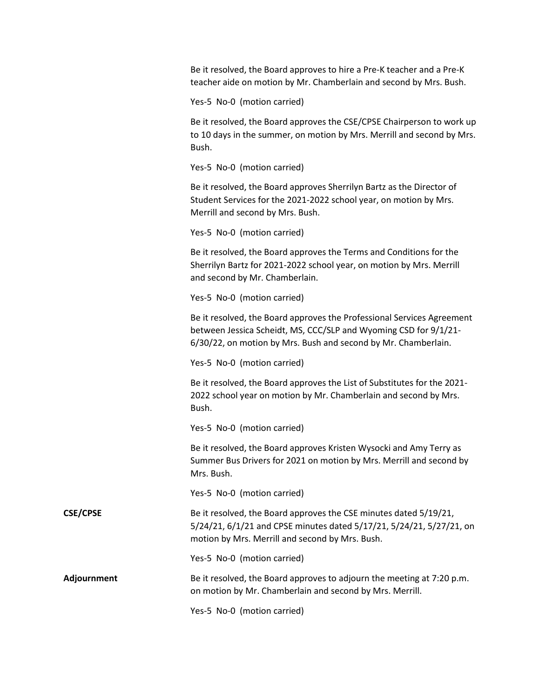|                 | Be it resolved, the Board approves to hire a Pre-K teacher and a Pre-K<br>teacher aide on motion by Mr. Chamberlain and second by Mrs. Bush.                                                                 |
|-----------------|--------------------------------------------------------------------------------------------------------------------------------------------------------------------------------------------------------------|
|                 | Yes-5 No-0 (motion carried)                                                                                                                                                                                  |
|                 | Be it resolved, the Board approves the CSE/CPSE Chairperson to work up<br>to 10 days in the summer, on motion by Mrs. Merrill and second by Mrs.<br>Bush.                                                    |
|                 | Yes-5 No-0 (motion carried)                                                                                                                                                                                  |
|                 | Be it resolved, the Board approves Sherrilyn Bartz as the Director of<br>Student Services for the 2021-2022 school year, on motion by Mrs.<br>Merrill and second by Mrs. Bush.                               |
|                 | Yes-5 No-0 (motion carried)                                                                                                                                                                                  |
|                 | Be it resolved, the Board approves the Terms and Conditions for the<br>Sherrilyn Bartz for 2021-2022 school year, on motion by Mrs. Merrill<br>and second by Mr. Chamberlain.                                |
|                 | Yes-5 No-0 (motion carried)                                                                                                                                                                                  |
|                 | Be it resolved, the Board approves the Professional Services Agreement<br>between Jessica Scheidt, MS, CCC/SLP and Wyoming CSD for 9/1/21-<br>6/30/22, on motion by Mrs. Bush and second by Mr. Chamberlain. |
|                 | Yes-5 No-0 (motion carried)                                                                                                                                                                                  |
|                 | Be it resolved, the Board approves the List of Substitutes for the 2021-<br>2022 school year on motion by Mr. Chamberlain and second by Mrs.<br>Bush.                                                        |
|                 | Yes-5 No-0 (motion carried)                                                                                                                                                                                  |
|                 | Be it resolved, the Board approves Kristen Wysocki and Amy Terry as<br>Summer Bus Drivers for 2021 on motion by Mrs. Merrill and second by<br>Mrs. Bush.                                                     |
|                 | Yes-5 No-0 (motion carried)                                                                                                                                                                                  |
| <b>CSE/CPSE</b> | Be it resolved, the Board approves the CSE minutes dated 5/19/21,<br>5/24/21, 6/1/21 and CPSE minutes dated 5/17/21, 5/24/21, 5/27/21, on<br>motion by Mrs. Merrill and second by Mrs. Bush.                 |
|                 | Yes-5 No-0 (motion carried)                                                                                                                                                                                  |
| Adjournment     | Be it resolved, the Board approves to adjourn the meeting at 7:20 p.m.<br>on motion by Mr. Chamberlain and second by Mrs. Merrill.                                                                           |
|                 | Yes-5 No-0 (motion carried)                                                                                                                                                                                  |
|                 |                                                                                                                                                                                                              |